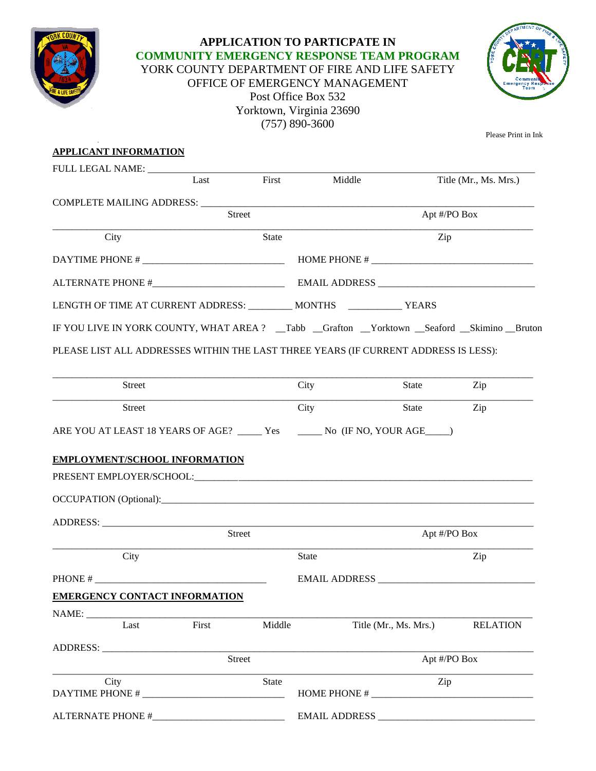

## **APPLICATION TO PARTICPATE IN COMMUNITY EMERGENCY RESPONSE TEAM PROGRAM**  YORK COUNTY DEPARTMENT OF FIRE AND LIFE SAFETY OFFICE OF EMERGENCY MANAGEMENT Post Office Box 532 Yorktown, Virginia 23690 (757) 890-3600



Please Print in Ink

| <b>APPLICANT INFORMATION</b>                                                                      |               |                      |              |                       |                       |  |
|---------------------------------------------------------------------------------------------------|---------------|----------------------|--------------|-----------------------|-----------------------|--|
|                                                                                                   |               |                      |              |                       |                       |  |
|                                                                                                   | Last          | First                | Middle       |                       | Title (Mr., Ms. Mrs.) |  |
| COMPLETE MAILING ADDRESS: ___________                                                             |               |                      |              |                       |                       |  |
|                                                                                                   | <b>Street</b> |                      | Apt #/PO Box |                       |                       |  |
| City                                                                                              |               | <b>State</b>         |              | Zip                   |                       |  |
|                                                                                                   |               |                      |              |                       |                       |  |
|                                                                                                   |               |                      |              |                       |                       |  |
| LENGTH OF TIME AT CURRENT ADDRESS: __________ MONTHS _______________ YEARS                        |               |                      |              |                       |                       |  |
| IF YOU LIVE IN YORK COUNTY, WHAT AREA ? __ Tabb __Grafton __Yorktown __Seaford __Skimino __Bruton |               |                      |              |                       |                       |  |
| PLEASE LIST ALL ADDRESSES WITHIN THE LAST THREE YEARS (IF CURRENT ADDRESS IS LESS):               |               |                      |              |                       |                       |  |
| Street                                                                                            |               |                      | City         | State                 | Zip                   |  |
| <b>Street</b>                                                                                     |               |                      | City         | State                 | Zip                   |  |
|                                                                                                   |               |                      |              |                       |                       |  |
| EMPLOYMENT/SCHOOL INFORMATION                                                                     |               |                      |              |                       |                       |  |
|                                                                                                   |               |                      |              |                       |                       |  |
|                                                                                                   | Street        |                      |              |                       | Apt #/PO Box          |  |
| City                                                                                              |               |                      | <b>State</b> |                       | Zip                   |  |
| PHONE #                                                                                           |               | <b>EMAIL ADDRESS</b> |              |                       |                       |  |
| <b>EMERGENCY CONTACT INFORMATION</b>                                                              |               |                      |              |                       |                       |  |
|                                                                                                   |               |                      |              |                       |                       |  |
| Last                                                                                              | First         | Middle               |              | Title (Mr., Ms. Mrs.) | <b>RELATION</b>       |  |
|                                                                                                   |               | Street               |              | Apt #/PO Box          |                       |  |
| City                                                                                              |               | <b>State</b>         |              |                       |                       |  |
| DAYTIME PHONE #                                                                                   |               |                      | Zip          |                       |                       |  |
|                                                                                                   |               |                      |              |                       |                       |  |